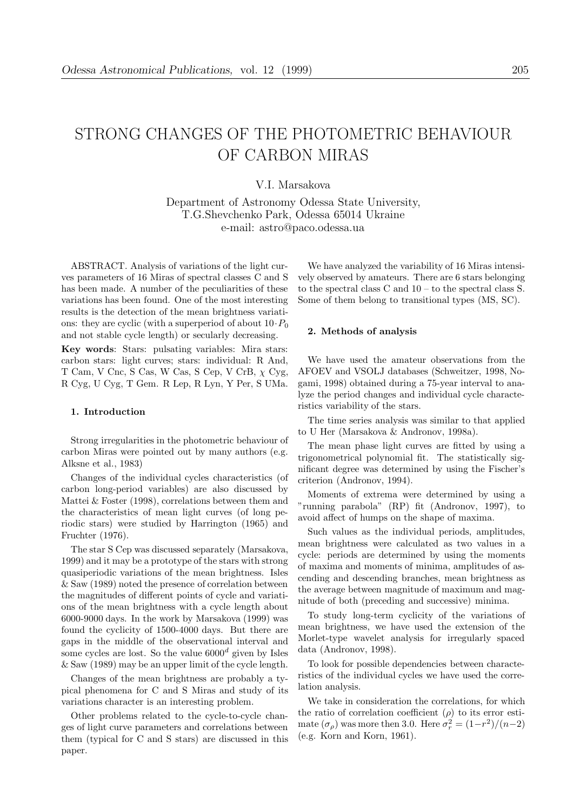# STRONG CHANGES OF THE PHOTOMETRIC BEHAVIOUR OF CARBON MIRAS

## V.I. Marsakova

Department of Astronomy Odessa State University, T.G.Shevchenko Park, Odessa 65014 Ukraine e-mail: astro@paco.odessa.ua

ABSTRACT. Analysis of variations of the light curves parameters of 16 Miras of spectral classes C and S has been made. A number of the peculiarities of these variations has been found. One of the most interesting results is the detection of the mean brightness variations: they are cyclic (with a superperiod of about  $10 \cdot P_0$ and not stable cycle length) or secularly decreasing.

Key words: Stars: pulsating variables: Mira stars: carbon stars: light curves; stars: individual: R And, T Cam, V Cnc, S Cas, W Cas, S Cep, V CrB,  $\chi$  Cyg, R Cyg, U Cyg, T Gem. R Lep, R Lyn, Y Per, S UMa.

#### 1. Introduction

Strong irregularities in the photometric behaviour of carbon Miras were pointed out by many authors (e.g. Alksne et al., 1983)

Changes of the individual cycles characteristics (of carbon long-period variables) are also discussed by Mattei & Foster (1998), correlations between them and the characteristics of mean light curves (of long periodic stars) were studied by Harrington (1965) and Fruchter (1976).

The star S Cep was discussed separately (Marsakova, 1999) and it may be a prototype of the stars with strong quasiperiodic variations of the mean brightness. Isles & Saw (1989) noted the presence of correlation between the magnitudes of different points of cycle and variations of the mean brightness with a cycle length about 6000-9000 days. In the work by Marsakova (1999) was found the cyclicity of 1500-4000 days. But there are gaps in the middle of the observational interval and some cycles are lost. So the value  $6000<sup>d</sup>$  given by Isles & Saw (1989) may be an upper limit of the cycle length.

Changes of the mean brightness are probably a typical phenomena for C and S Miras and study of its variations character is an interesting problem.

Other problems related to the cycle-to-cycle changes of light curve parameters and correlations between them (typical for C and S stars) are discussed in this paper.

We have analyzed the variability of 16 Miras intensively observed by amateurs. There are 6 stars belonging to the spectral class C and 10 – to the spectral class S. Some of them belong to transitional types (MS, SC).

#### 2. Methods of analysis

We have used the amateur observations from the AFOEV and VSOLJ databases (Schweitzer, 1998, Nogami, 1998) obtained during a 75-year interval to analyze the period changes and individual cycle characteristics variability of the stars.

The time series analysis was similar to that applied to U Her (Marsakova & Andronov, 1998a).

The mean phase light curves are fitted by using a trigonometrical polynomial fit. The statistically significant degree was determined by using the Fischer's criterion (Andronov, 1994).

Moments of extrema were determined by using a "running parabola" (RP) fit (Andronov, 1997), to avoid affect of humps on the shape of maxima.

Such values as the individual periods, amplitudes, mean brightness were calculated as two values in a cycle: periods are determined by using the moments of maxima and moments of minima, amplitudes of ascending and descending branches, mean brightness as the average between magnitude of maximum and magnitude of both (preceding and successive) minima.

To study long-term cyclicity of the variations of mean brightness, we have used the extension of the Morlet-type wavelet analysis for irregularly spaced data (Andronov, 1998).

To look for possible dependencies between characteristics of the individual cycles we have used the correlation analysis.

We take in consideration the correlations, for which the ratio of correlation coefficient  $(\rho)$  to its error estimate  $(\sigma_{\rho})$  was more then 3.0. Here  $\sigma_r^2 = (1 - r^2)/(n - 2)$ (e.g. Korn and Korn, 1961).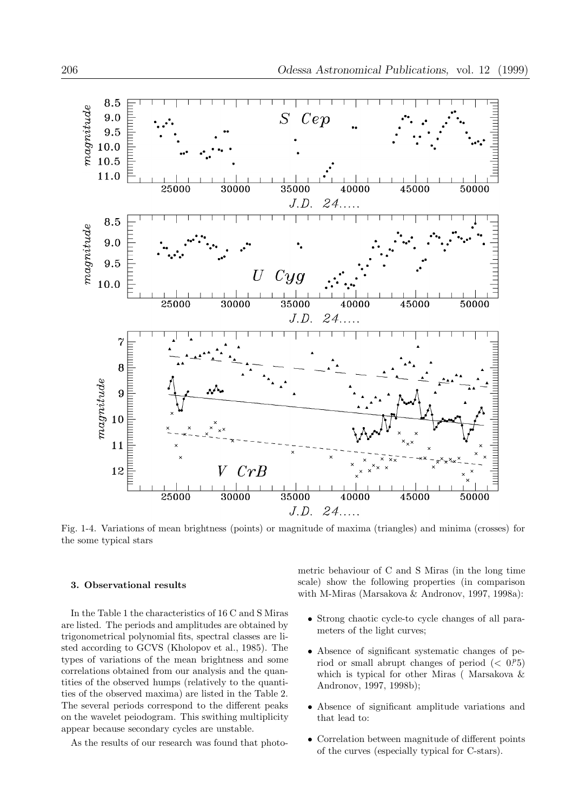

Fig. 1-4. Variations of mean brightness (points) or magnitude of maxima (triangles) and minima (crosses) for the some typical stars

### 3. Observational results

In the Table 1 the characteristics of 16 C and S Miras are listed. The periods and amplitudes are obtained by trigonometrical polynomial fits, spectral classes are listed according to GCVS (Kholopov et al., 1985). The types of variations of the mean brightness and some correlations obtained from our analysis and the quantities of the observed humps (relatively to the quantities of the observed maxima) are listed in the Table 2. The several periods correspond to the different peaks on the wavelet peiodogram. This swithing multiplicity appear because secondary cycles are unstable.

As the results of our research was found that photo-

metric behaviour of C and S Miras (in the long time scale) show the following properties (in comparison with M-Miras (Marsakova & Andronov, 1997, 1998a):

- Strong chaotic cycle-to cycle changes of all parameters of the light curves;
- Absence of significant systematic changes of period or small abrupt changes of period  $( $0.0^p5$ )$ which is typical for other Miras ( Marsakova & Andronov, 1997, 1998b);
- Absence of significant amplitude variations and that lead to:
- Correlation between magnitude of different points of the curves (especially typical for C-stars).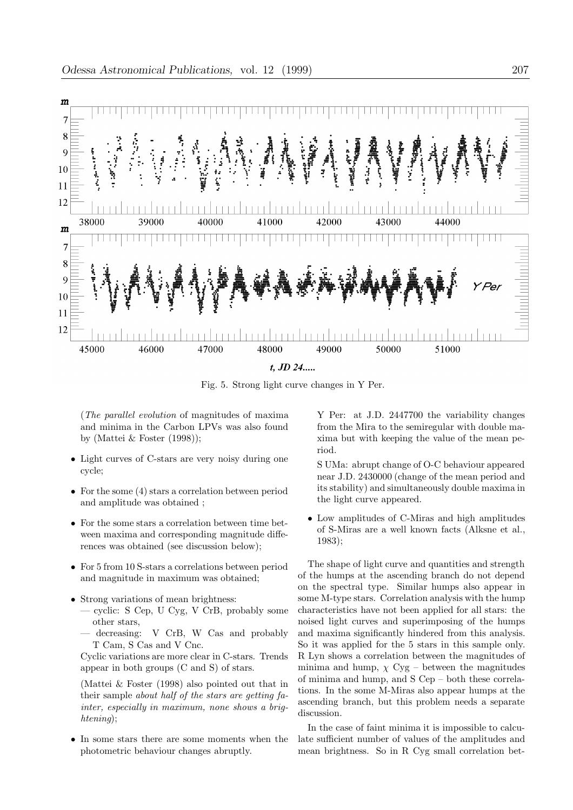

Fig. 5. Strong light curve changes in Y Per.

(The parallel evolution of magnitudes of maxima and minima in the Carbon LPVs was also found by (Mattei & Foster (1998));

- Light curves of C-stars are very noisy during one cycle;
- For the some (4) stars a correlation between period and amplitude was obtained ;
- For the some stars a correlation between time between maxima and corresponding magnitude differences was obtained (see discussion below);
- For 5 from 10 S-stars a correlations between period and magnitude in maximum was obtained;
- Strong variations of mean brightness:
	- cyclic: S Cep, U Cyg, V CrB, probably some other stars,
	- decreasing: V CrB, W Cas and probably T Cam, S Cas and V Cnc.

Cyclic variations are more clear in C-stars. Trends appear in both groups (C and S) of stars.

(Mattei & Foster (1998) also pointed out that in their sample about half of the stars are getting fainter, especially in maximum, none shows a brightening);

• In some stars there are some moments when the photometric behaviour changes abruptly.

Y Per: at J.D. 2447700 the variability changes from the Mira to the semiregular with double maxima but with keeping the value of the mean period.

S UMa: abrupt change of O-C behaviour appeared near J.D. 2430000 (change of the mean period and its stability) and simultaneously double maxima in the light curve appeared.

• Low amplitudes of C-Miras and high amplitudes of S-Miras are a well known facts (Alksne et al., 1983);

The shape of light curve and quantities and strength of the humps at the ascending branch do not depend on the spectral type. Similar humps also appear in some M-type stars. Correlation analysis with the hump characteristics have not been applied for all stars: the noised light curves and superimposing of the humps and maxima significantly hindered from this analysis. So it was applied for the 5 stars in this sample only. R Lyn shows a correlation between the magnitudes of minima and hump,  $\chi$  Cyg – between the magnitudes of minima and hump, and S Cep – both these correlations. In the some M-Miras also appear humps at the ascending branch, but this problem needs a separate discussion.

In the case of faint minima it is impossible to calculate sufficient number of values of the amplitudes and mean brightness. So in R Cyg small correlation bet-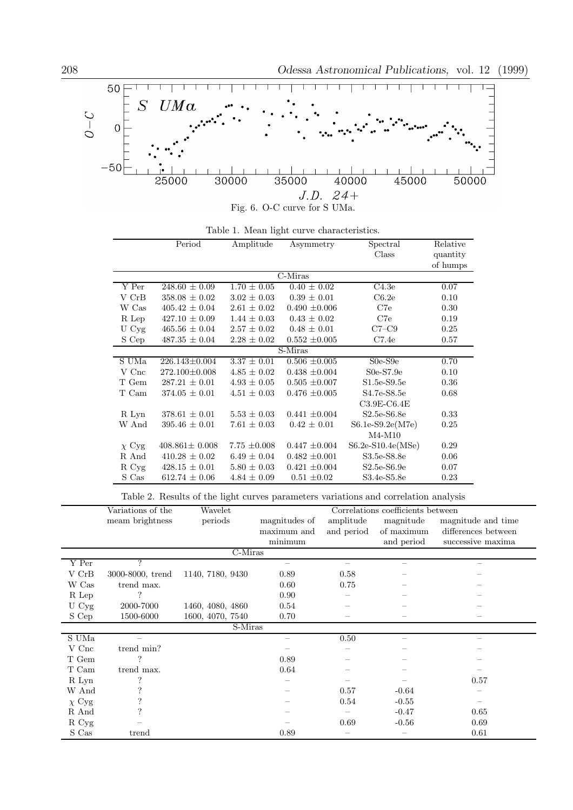

| Table 1. Mean light curve characteristics. |  |  |  |  |  |
|--------------------------------------------|--|--|--|--|--|
|--------------------------------------------|--|--|--|--|--|

|            | Period              | Amplitude        | Asymmetry                   | Spectral           | Relative |  |
|------------|---------------------|------------------|-----------------------------|--------------------|----------|--|
|            |                     |                  |                             | Class              | quantity |  |
|            |                     |                  |                             |                    | of humps |  |
|            |                     |                  | $\overline{\text{C-Miras}}$ |                    |          |  |
| Y Per      | $248.60 \pm 0.09$   | $1.70 \pm 0.05$  | $0.40 \pm 0.02$             | C4.3e              | 0.07     |  |
| V CrB      | $358.08 \pm 0.02$   | $3.02 \pm 0.03$  | $0.39 \pm 0.01$             | C6.2e              | 0.10     |  |
| W Cas      | $405.42 \pm 0.04$   | $2.61 \pm 0.02$  | $0.490 \pm 0.006$           | C7e                | 0.30     |  |
| R Lep      | $427.10 \pm 0.09$   | $1.44 \pm 0.03$  | $0.43 \pm 0.02$             | C7e                | 0.19     |  |
| U Cyg      | $465.56 \pm 0.04$   | $2.57 \pm 0.02$  | $0.48 \pm 0.01$             | $C7-C9$            | 0.25     |  |
| S Cep      | $487.35 \pm 0.04$   | $2.28 \pm 0.02$  | $0.552 \pm 0.005$           | C7.4e              | 0.57     |  |
| S-Miras    |                     |                  |                             |                    |          |  |
| S UMa      | $226.143 \pm 0.004$ | $3.37 \pm 0.01$  | $0.506 \pm 0.005$           | $S0e-S9e$          | 0.70     |  |
| V Cnc      | $272.100 \pm 0.008$ | $4.85 \pm 0.02$  | $0.438 \pm 0.004$           | $S0e-S7.9e$        | 0.10     |  |
| T Gem      | $287.21 \pm 0.01$   | $4.93 \pm 0.05$  | $0.505 \pm 0.007$           | $S1.5e-S9.5e$      | 0.36     |  |
| T Cam      | $374.05 \pm 0.01$   | $4.51 \pm 0.03$  | $0.476 \pm 0.005$           | S4.7e-S8.5e        | 0.68     |  |
|            |                     |                  |                             | $C3.9E-C6.4E$      |          |  |
| R Lyn      | $378.61 \pm 0.01$   | $5.53 \pm 0.03$  | $0.441 \pm 0.004$           | $S2.5e-S6.8e$      | 0.33     |  |
| W And      | $395.46 \pm 0.01$   | $7.61 \pm 0.03$  | $0.42 \pm 0.01$             | $S6.1e-S9.2e(M7e)$ | 0.25     |  |
|            |                     |                  |                             | $M4-M10$           |          |  |
| $\chi$ Cyg | $408.861 \pm 0.008$ | $7.75 \pm 0.008$ | $0.447 \pm 0.004$           | S6.2e-S10.4e(MSe)  | 0.29     |  |
| R And      | $410.28 \pm 0.02$   | $6.49 \pm 0.04$  | $0.482 \pm 0.001$           | S3.5e-S8.8e        | 0.06     |  |
| R Cyg      | $428.15 \pm 0.01$   | $5.80 \pm 0.03$  | $0.421 \pm 0.004$           | $S2.5e-S6.9e$      | 0.07     |  |
| S Cas      | $612.74 \pm 0.06$   | $4.84 \pm 0.09$  | $0.51 \pm 0.02$             | S3.4e-S5.8e        | 0.23     |  |

Table 2. Results of the light curves parameters variations and correlation analysis

|                 | Variations of the | Wavelet          | Correlations coefficients between |            |            |                     |  |
|-----------------|-------------------|------------------|-----------------------------------|------------|------------|---------------------|--|
|                 | meam brightness   | periods          | magnitudes of                     | amplitude  | magnitude  | magnitude and time  |  |
|                 |                   |                  | maximum and                       | and period | of maximum | differences between |  |
|                 |                   |                  | minimum                           |            | and period | successive maxima   |  |
| C-Miras         |                   |                  |                                   |            |            |                     |  |
| $\mathbf Y$ Per | 2                 |                  |                                   |            |            |                     |  |
| V CrB           | 3000-8000, trend  | 1140, 7180, 9430 | 0.89                              | 0.58       |            |                     |  |
| W Cas           | trend max.        |                  | 0.60                              | 0.75       |            |                     |  |
| R Lep           | ?                 |                  | 0.90                              |            |            |                     |  |
| U Cyg           | 2000-7000         | 1460, 4080, 4860 | 0.54                              |            |            |                     |  |
| S Cep           | 1500-6000         | 1600, 4070, 7540 | 0.70                              |            |            |                     |  |
| S-Miras         |                   |                  |                                   |            |            |                     |  |
| S UMa           |                   |                  |                                   | 0.50       |            |                     |  |
| V Cnc           | trend min?        |                  |                                   |            |            |                     |  |
| T Gem           | ?                 |                  | 0.89                              |            |            |                     |  |
| T Cam           | trend max.        |                  | 0.64                              |            |            |                     |  |
| R Lyn           | ?                 |                  |                                   |            |            | 0.57                |  |
| W And           |                   |                  |                                   | 0.57       | $-0.64$    |                     |  |
| $\chi$ Cyg      | ?                 |                  |                                   | 0.54       | $-0.55$    |                     |  |
| R And           | ?                 |                  |                                   |            | $-0.47$    | 0.65                |  |
| R Cyg           |                   |                  |                                   | 0.69       | $-0.56$    | 0.69                |  |
| $\mathbf S$ Cas | trend             |                  | 0.89                              |            |            | 0.61                |  |